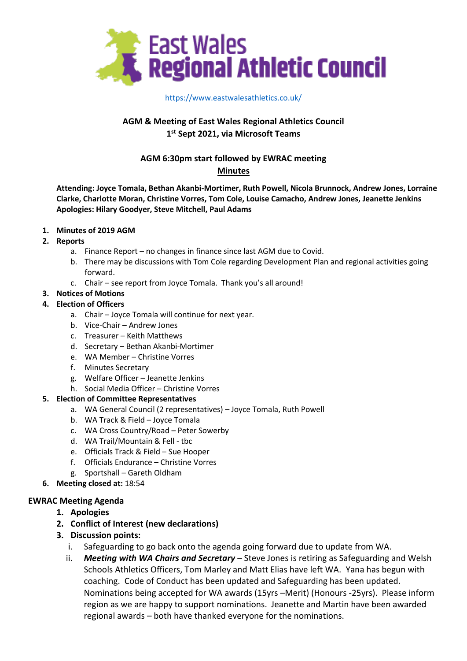

### [https://www.eastwalesathletics.co.uk/](about:blank)

# **AGM & Meeting of East Wales Regional Athletics Council 1 st Sept 2021, via Microsoft Teams**

# **AGM 6:30pm start followed by EWRAC meeting**

# **Minutes**

**Attending: Joyce Tomala, Bethan Akanbi-Mortimer, Ruth Powell, Nicola Brunnock, Andrew Jones, Lorraine Clarke, Charlotte Moran, Christine Vorres, Tom Cole, Louise Camacho, Andrew Jones, Jeanette Jenkins Apologies: Hilary Goodyer, Steve Mitchell, Paul Adams**

#### **1. Minutes of 2019 AGM**

- **2. Reports**
	- a. Finance Report no changes in finance since last AGM due to Covid.
	- b. There may be discussions with Tom Cole regarding Development Plan and regional activities going forward.
	- c. Chair see report from Joyce Tomala. Thank you's all around!

#### **3. Notices of Motions**

#### **4. Election of Officers**

- a. Chair Joyce Tomala will continue for next year.
- b. Vice-Chair Andrew Jones
- c. Treasurer Keith Matthews
- d. Secretary Bethan Akanbi-Mortimer
- e. WA Member Christine Vorres
- f. Minutes Secretary
- g. Welfare Officer Jeanette Jenkins
- h. Social Media Officer Christine Vorres

#### **5. Election of Committee Representatives**

- a. WA General Council (2 representatives) Joyce Tomala, Ruth Powell
- b. WA Track & Field Joyce Tomala
- c. WA Cross Country/Road Peter Sowerby
- d. WA Trail/Mountain & Fell tbc
- e. Officials Track & Field Sue Hooper
- f. Officials Endurance Christine Vorres
- g. Sportshall Gareth Oldham
- **6. Meeting closed at:** 18:54

#### **EWRAC Meeting Agenda**

- **1. Apologies**
- **2. Conflict of Interest (new declarations)**
- **3. Discussion points:**
	- i. Safeguarding to go back onto the agenda going forward due to update from WA.
	- ii. *Meeting with WA Chairs and Secretary* Steve Jones is retiring as Safeguarding and Welsh Schools Athletics Officers, Tom Marley and Matt Elias have left WA. Yana has begun with coaching. Code of Conduct has been updated and Safeguarding has been updated. Nominations being accepted for WA awards (15yrs –Merit) (Honours -25yrs). Please inform region as we are happy to support nominations. Jeanette and Martin have been awarded regional awards – both have thanked everyone for the nominations.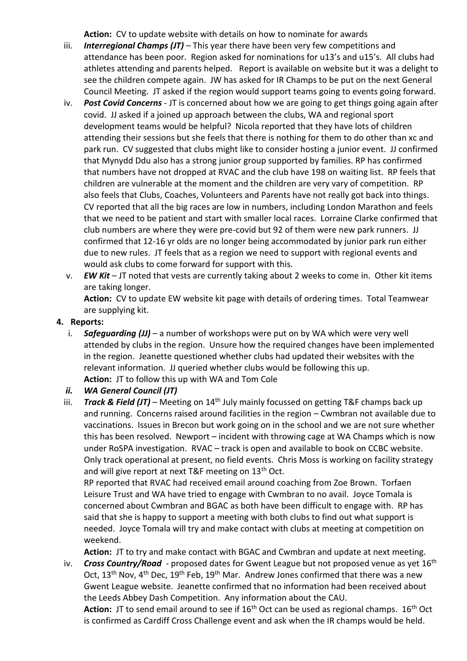**Action:** CV to update website with details on how to nominate for awards

- iii. *Interregional Champs (JT)* This year there have been very few competitions and attendance has been poor. Region asked for nominations for u13's and u15's. All clubs had athletes attending and parents helped. Report is available on website but it was a delight to see the children compete again. JW has asked for IR Champs to be put on the next General Council Meeting. JT asked if the region would support teams going to events going forward.
- iv. *Post Covid Concerns* JT is concerned about how we are going to get things going again after covid. JJ asked if a joined up approach between the clubs, WA and regional sport development teams would be helpful? Nicola reported that they have lots of children attending their sessions but she feels that there is nothing for them to do other than xc and park run. CV suggested that clubs might like to consider hosting a junior event. JJ confirmed that Mynydd Ddu also has a strong junior group supported by families. RP has confirmed that numbers have not dropped at RVAC and the club have 198 on waiting list. RP feels that children are vulnerable at the moment and the children are very vary of competition. RP also feels that Clubs, Coaches, Volunteers and Parents have not really got back into things. CV reported that all the big races are low in numbers, including London Marathon and feels that we need to be patient and start with smaller local races. Lorraine Clarke confirmed that club numbers are where they were pre-covid but 92 of them were new park runners. JJ confirmed that 12-16 yr olds are no longer being accommodated by junior park run either due to new rules. JT feels that as a region we need to support with regional events and would ask clubs to come forward for support with this.
- v. *EW Kit* JT noted that vests are currently taking about 2 weeks to come in. Other kit items are taking longer.

**Action:** CV to update EW website kit page with details of ordering times. Total Teamwear are supplying kit.

# **4. Reports:**

- i. *Safeguarding (JJ)* a number of workshops were put on by WA which were very well attended by clubs in the region. Unsure how the required changes have been implemented in the region. Jeanette questioned whether clubs had updated their websites with the relevant information. JJ queried whether clubs would be following this up. **Action:** JT to follow this up with WA and Tom Cole
- *ii. WA General Council (JT)*
- iii. *Track & Field (JT)* Meeting on  $14<sup>th</sup>$  July mainly focussed on getting T&F champs back up and running. Concerns raised around facilities in the region – Cwmbran not available due to vaccinations. Issues in Brecon but work going on in the school and we are not sure whether this has been resolved. Newport – incident with throwing cage at WA Champs which is now under RoSPA investigation. RVAC – track is open and available to book on CCBC website. Only track operational at present, no field events. Chris Moss is working on facility strategy and will give report at next T&F meeting on  $13<sup>th</sup>$  Oct.

RP reported that RVAC had received email around coaching from Zoe Brown. Torfaen Leisure Trust and WA have tried to engage with Cwmbran to no avail. Joyce Tomala is concerned about Cwmbran and BGAC as both have been difficult to engage with. RP has said that she is happy to support a meeting with both clubs to find out what support is needed. Joyce Tomala will try and make contact with clubs at meeting at competition on weekend.

**Action:** JT to try and make contact with BGAC and Cwmbran and update at next meeting.

iv. **Cross Country/Road** - proposed dates for Gwent League but not proposed venue as yet 16<sup>th</sup> Oct, 13<sup>th</sup> Nov, 4<sup>th</sup> Dec, 19<sup>th</sup> Feb, 19<sup>th</sup> Mar. Andrew Jones confirmed that there was a new Gwent League website. Jeanette confirmed that no information had been received about the Leeds Abbey Dash Competition. Any information about the CAU.

Action: JT to send email around to see if 16<sup>th</sup> Oct can be used as regional champs. 16<sup>th</sup> Oct is confirmed as Cardiff Cross Challenge event and ask when the IR champs would be held.